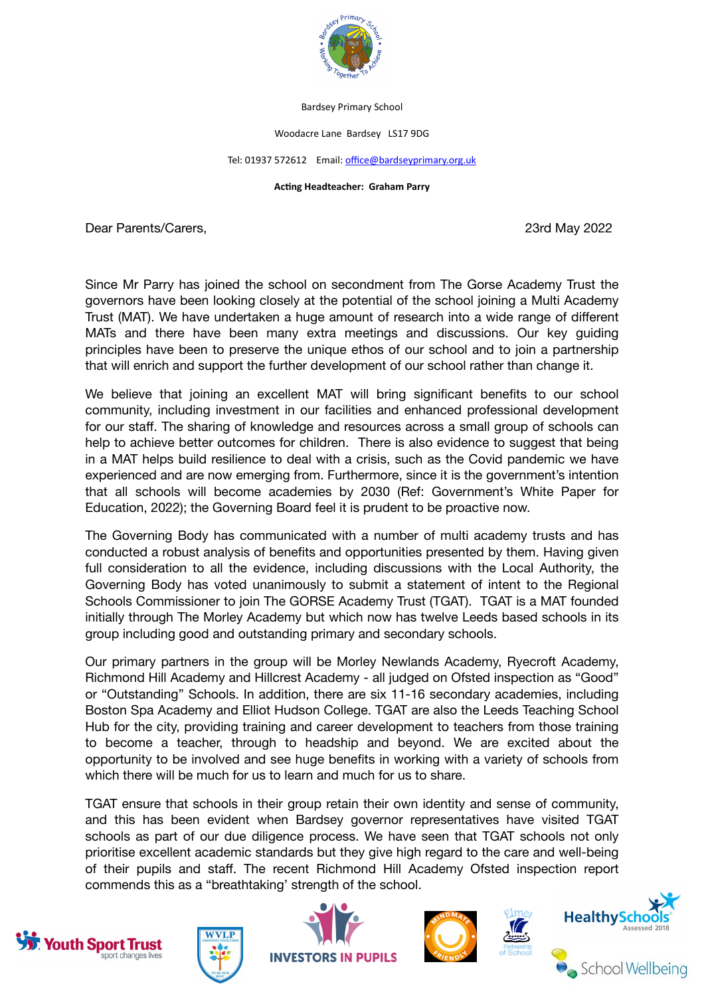

Bardsey Primary School

Woodacre Lane Bardsey LS17 9DG

## Tel: 01937 572612 Email: [office@bardseyprimary.org.uk](mailto:office@bardseyprimary.org.uk)

## **Acting Headteacher: Graham Parry**

Dear Parents/Carers, 23rd May 2022

Since Mr Parry has joined the school on secondment from The Gorse Academy Trust the governors have been looking closely at the potential of the school joining a Multi Academy Trust (MAT). We have undertaken a huge amount of research into a wide range of different MATs and there have been many extra meetings and discussions. Our key guiding principles have been to preserve the unique ethos of our school and to join a partnership that will enrich and support the further development of our school rather than change it.

We believe that joining an excellent MAT will bring significant benefits to our school community, including investment in our facilities and enhanced professional development for our staff. The sharing of knowledge and resources across a small group of schools can help to achieve better outcomes for children. There is also evidence to suggest that being in a MAT helps build resilience to deal with a crisis, such as the Covid pandemic we have experienced and are now emerging from. Furthermore, since it is the government's intention that all schools will become academies by 2030 (Ref: Government's White Paper for Education, 2022); the Governing Board feel it is prudent to be proactive now.

The Governing Body has communicated with a number of multi academy trusts and has conducted a robust analysis of benefits and opportunities presented by them. Having given full consideration to all the evidence, including discussions with the Local Authority, the Governing Body has voted unanimously to submit a statement of intent to the Regional Schools Commissioner to join The GORSE Academy Trust (TGAT). TGAT is a MAT founded initially through The Morley Academy but which now has twelve Leeds based schools in its group including good and outstanding primary and secondary schools.

Our primary partners in the group will be Morley Newlands Academy, Ryecroft Academy, Richmond Hill Academy and Hillcrest Academy - all judged on Ofsted inspection as "Good" or "Outstanding" Schools. In addition, there are six 11-16 secondary academies, including Boston Spa Academy and Elliot Hudson College. TGAT are also the Leeds Teaching School Hub for the city, providing training and career development to teachers from those training to become a teacher, through to headship and beyond. We are excited about the opportunity to be involved and see huge benefits in working with a variety of schools from which there will be much for us to learn and much for us to share.

TGAT ensure that schools in their group retain their own identity and sense of community, and this has been evident when Bardsey governor representatives have visited TGAT schools as part of our due diligence process. We have seen that TGAT schools not only prioritise excellent academic standards but they give high regard to the care and well-being of their pupils and staff. The recent Richmond Hill Academy Ofsted inspection report commends this as a "breathtaking' strength of the school.









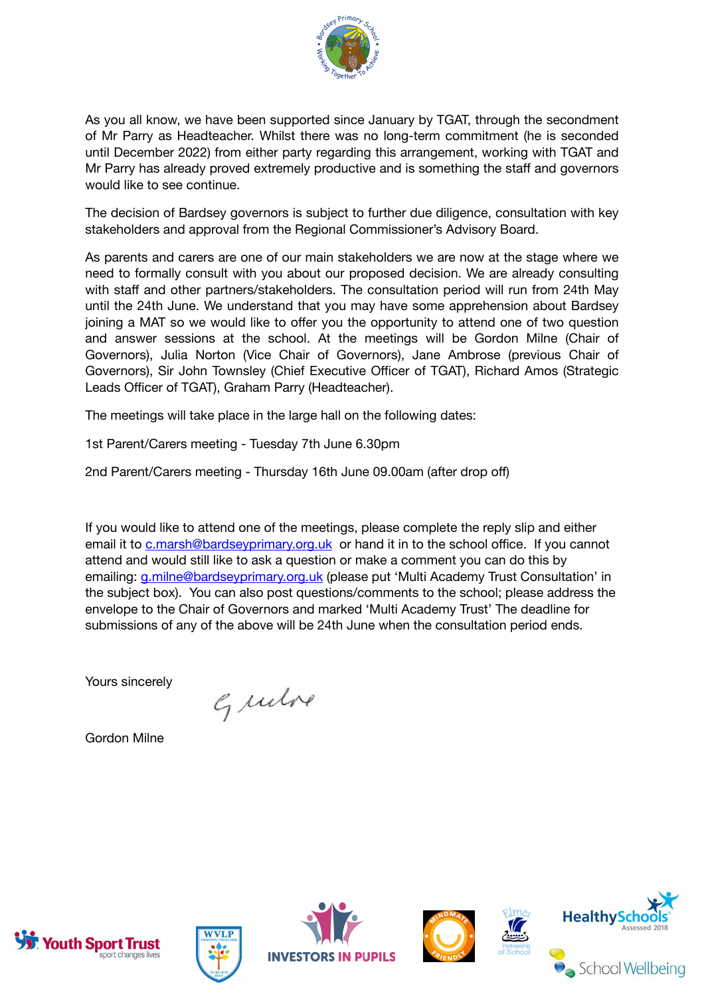

As you all know, we have been supported since January by TGAT, through the secondment of Mr Parry as Headteacher. Whilst there was no long-term commitment (he is seconded until December 2022) from either party regarding this arrangement, working with TGAT and Mr Parry has already proved extremely productive and is something the staff and governors would like to see continue.

The decision of Bardsey governors is subject to further due diligence, consultation with key stakeholders and approval from the Regional Commissioner's Advisory Board.

As parents and carers are one of our main stakeholders we are now at the stage where we need to formally consult with you about our proposed decision. We are already consulting with staff and other partners/stakeholders. The consultation period will run from 24th May until the 24th June. We understand that you may have some apprehension about Bardsey joining a MAT so we would like to offer you the opportunity to attend one of two question and answer sessions at the school. At the meetings will be Gordon Milne (Chair of Governors), Julia Norton (Vice Chair of Governors), Jane Ambrose (previous Chair of Governors), Sir John Townsley (Chief Executive Officer of TGAT), Richard Amos (Strategic Leads Officer of TGAT), Graham Parry (Headteacher).

The meetings will take place in the large hall on the following dates:

1st Parent/Carers meeting - Tuesday 7th June 6.30pm

2nd Parent/Carers meeting - Thursday 16th June 09.00am (after drop off)

If you would like to attend one of the meetings, please complete the reply slip and either email it to [c.marsh@bardseyprimary.org.uk](mailto:c.marsh@bardseyprimary.org.uk) or hand it in to the school office. If you cannot attend and would still like to ask a question or make a comment you can do this by emailing: [g.milne@bardseyprimary.org.uk](mailto:g.milne@bardseyprimary.org.uk) (please put 'Multi Academy Trust Consultation' in the subject box). You can also post questions/comments to the school; please address the envelope to the Chair of Governors and marked 'Multi Academy Trust' The deadline for submissions of any of the above will be 24th June when the consultation period ends.

Yours sincerely

Grubre

Gordon Milne